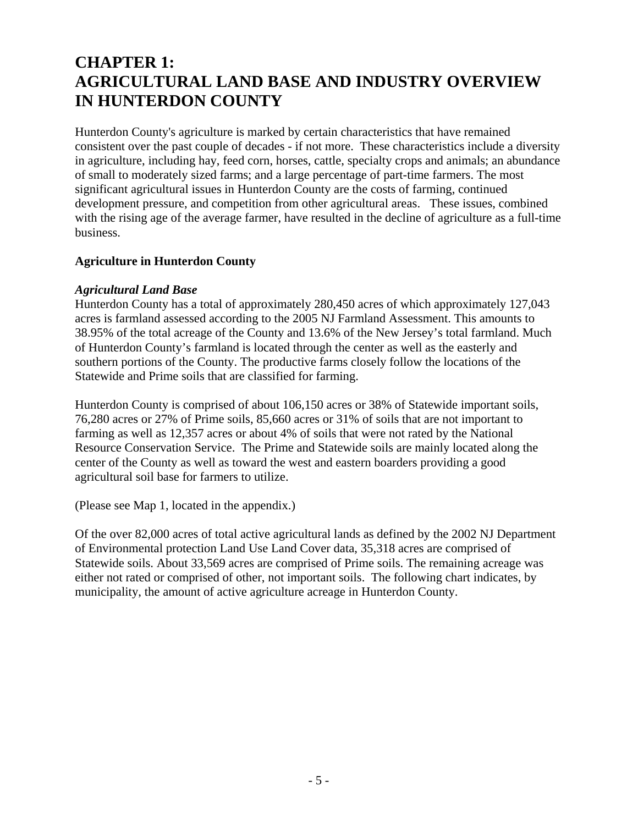# **CHAPTER 1: AGRICULTURAL LAND BASE AND INDUSTRY OVERVIEW IN HUNTERDON COUNTY**

Hunterdon County's agriculture is marked by certain characteristics that have remained consistent over the past couple of decades - if not more. These characteristics include a diversity in agriculture, including hay, feed corn, horses, cattle, specialty crops and animals; an abundance of small to moderately sized farms; and a large percentage of part-time farmers. The most significant agricultural issues in Hunterdon County are the costs of farming, continued development pressure, and competition from other agricultural areas. These issues, combined with the rising age of the average farmer, have resulted in the decline of agriculture as a full-time business.

#### **Agriculture in Hunterdon County**

#### *Agricultural Land Base*

Hunterdon County has a total of approximately 280,450 acres of which approximately 127,043 acres is farmland assessed according to the 2005 NJ Farmland Assessment. This amounts to 38.95% of the total acreage of the County and 13.6% of the New Jersey's total farmland. Much of Hunterdon County's farmland is located through the center as well as the easterly and southern portions of the County. The productive farms closely follow the locations of the Statewide and Prime soils that are classified for farming.

Hunterdon County is comprised of about 106,150 acres or 38% of Statewide important soils, 76,280 acres or 27% of Prime soils, 85,660 acres or 31% of soils that are not important to farming as well as 12,357 acres or about 4% of soils that were not rated by the National Resource Conservation Service. The Prime and Statewide soils are mainly located along the center of the County as well as toward the west and eastern boarders providing a good agricultural soil base for farmers to utilize.

(Please see Map 1, located in the appendix.)

Of the over 82,000 acres of total active agricultural lands as defined by the 2002 NJ Department of Environmental protection Land Use Land Cover data, 35,318 acres are comprised of Statewide soils. About 33,569 acres are comprised of Prime soils. The remaining acreage was either not rated or comprised of other, not important soils. The following chart indicates, by municipality, the amount of active agriculture acreage in Hunterdon County.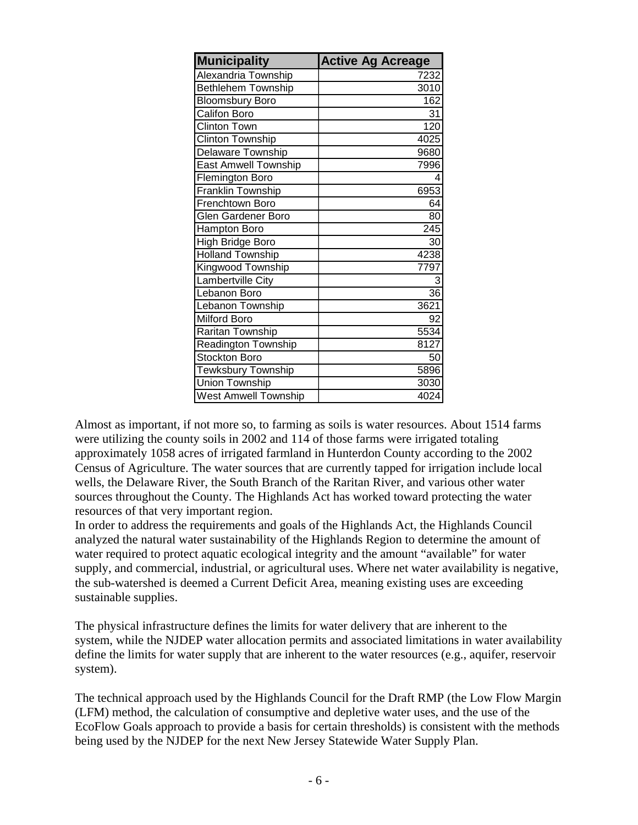| <b>Municipality</b>         | <b>Active Ag Acreage</b> |
|-----------------------------|--------------------------|
| Alexandria Township         | 7232                     |
| <b>Bethlehem Township</b>   | 3010                     |
| <b>Bloomsbury Boro</b>      | 162                      |
| Califon Boro                | 31                       |
| <b>Clinton Town</b>         | 120                      |
| <b>Clinton Township</b>     | 4025                     |
| Delaware Township           | 9680                     |
| <b>East Amwell Township</b> | 7996                     |
| Flemington Boro             | 4                        |
| Franklin Township           | 6953                     |
| Frenchtown Boro             | 64                       |
| Glen Gardener Boro          | 80                       |
| Hampton Boro                | $\overline{245}$         |
| High Bridge Boro            | 30                       |
| <b>Holland Township</b>     | 4238                     |
| Kingwood Township           | 7797                     |
| Lambertville City           | 3                        |
| Lebanon Boro                | $\overline{36}$          |
| Lebanon Township            | 3621                     |
| <b>Milford Boro</b>         | 92                       |
| Raritan Township            | 5534                     |
| <b>Readington Township</b>  | 8127                     |
| <b>Stockton Boro</b>        | 50                       |
| <b>Tewksbury Township</b>   | 5896                     |
| Union Township              | 3030                     |
| <b>West Amwell Township</b> | 4024                     |

Almost as important, if not more so, to farming as soils is water resources. About 1514 farms were utilizing the county soils in 2002 and 114 of those farms were irrigated totaling approximately 1058 acres of irrigated farmland in Hunterdon County according to the 2002 Census of Agriculture. The water sources that are currently tapped for irrigation include local wells, the Delaware River, the South Branch of the Raritan River, and various other water sources throughout the County. The Highlands Act has worked toward protecting the water resources of that very important region.

In order to address the requirements and goals of the Highlands Act, the Highlands Council analyzed the natural water sustainability of the Highlands Region to determine the amount of water required to protect aquatic ecological integrity and the amount "available" for water supply, and commercial, industrial, or agricultural uses. Where net water availability is negative, the sub-watershed is deemed a Current Deficit Area, meaning existing uses are exceeding sustainable supplies.

The physical infrastructure defines the limits for water delivery that are inherent to the system, while the NJDEP water allocation permits and associated limitations in water availability define the limits for water supply that are inherent to the water resources (e.g., aquifer, reservoir system).

The technical approach used by the Highlands Council for the Draft RMP (the Low Flow Margin (LFM) method, the calculation of consumptive and depletive water uses, and the use of the EcoFlow Goals approach to provide a basis for certain thresholds) is consistent with the methods being used by the NJDEP for the next New Jersey Statewide Water Supply Plan.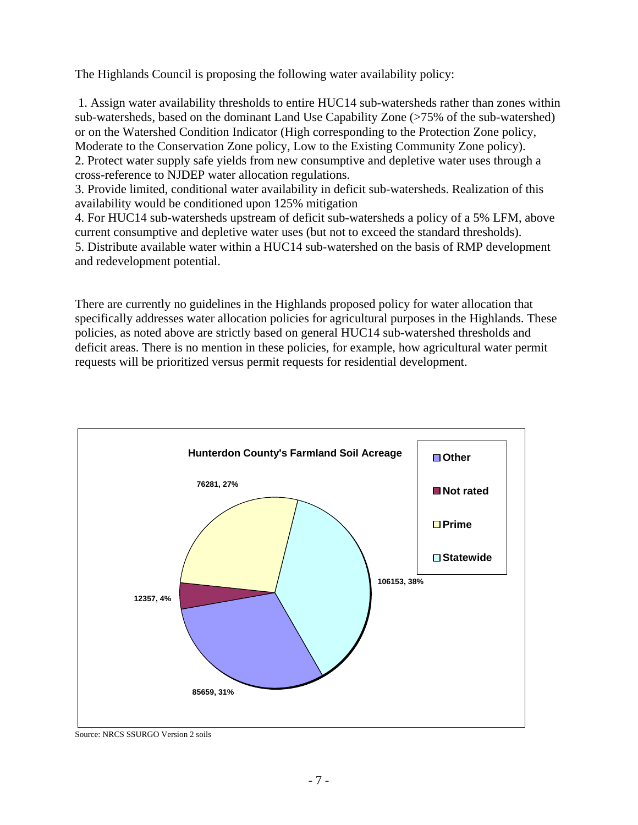The Highlands Council is proposing the following water availability policy:

 1. Assign water availability thresholds to entire HUC14 sub-watersheds rather than zones within sub-watersheds, based on the dominant Land Use Capability Zone (>75% of the sub-watershed) or on the Watershed Condition Indicator (High corresponding to the Protection Zone policy, Moderate to the Conservation Zone policy, Low to the Existing Community Zone policy). 2. Protect water supply safe yields from new consumptive and depletive water uses through a cross-reference to NJDEP water allocation regulations.

3. Provide limited, conditional water availability in deficit sub-watersheds. Realization of this availability would be conditioned upon 125% mitigation

4. For HUC14 sub-watersheds upstream of deficit sub-watersheds a policy of a 5% LFM, above current consumptive and depletive water uses (but not to exceed the standard thresholds).

5. Distribute available water within a HUC14 sub-watershed on the basis of RMP development and redevelopment potential.

There are currently no guidelines in the Highlands proposed policy for water allocation that specifically addresses water allocation policies for agricultural purposes in the Highlands. These policies, as noted above are strictly based on general HUC14 sub-watershed thresholds and deficit areas. There is no mention in these policies, for example, how agricultural water permit requests will be prioritized versus permit requests for residential development.



Source: NRCS SSURGO Version 2 soils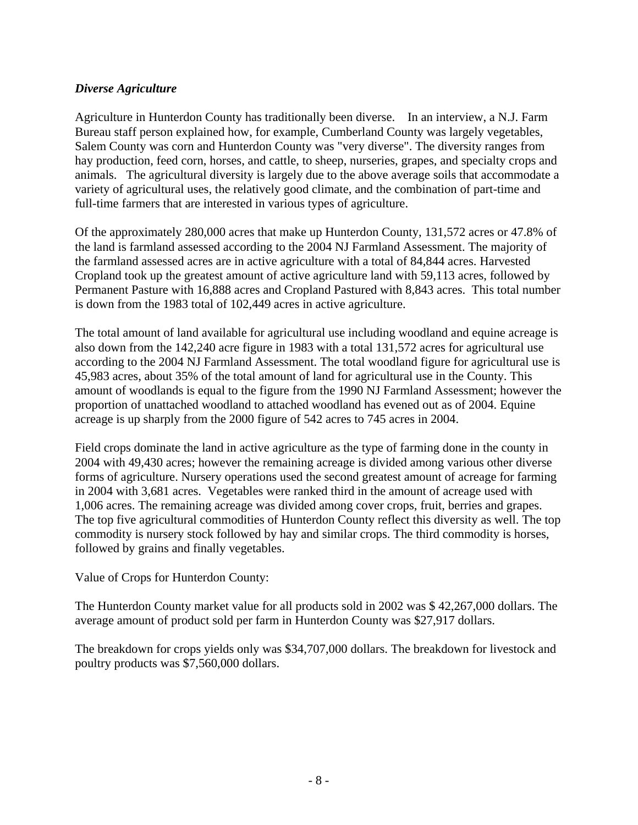### *Diverse Agriculture*

Agriculture in Hunterdon County has traditionally been diverse. In an interview, a N.J. Farm Bureau staff person explained how, for example, Cumberland County was largely vegetables, Salem County was corn and Hunterdon County was "very diverse". The diversity ranges from hay production, feed corn, horses, and cattle, to sheep, nurseries, grapes, and specialty crops and animals. The agricultural diversity is largely due to the above average soils that accommodate a variety of agricultural uses, the relatively good climate, and the combination of part-time and full-time farmers that are interested in various types of agriculture.

Of the approximately 280,000 acres that make up Hunterdon County, 131,572 acres or 47.8% of the land is farmland assessed according to the 2004 NJ Farmland Assessment. The majority of the farmland assessed acres are in active agriculture with a total of 84,844 acres. Harvested Cropland took up the greatest amount of active agriculture land with 59,113 acres, followed by Permanent Pasture with 16,888 acres and Cropland Pastured with 8,843 acres. This total number is down from the 1983 total of 102,449 acres in active agriculture.

The total amount of land available for agricultural use including woodland and equine acreage is also down from the 142,240 acre figure in 1983 with a total 131,572 acres for agricultural use according to the 2004 NJ Farmland Assessment. The total woodland figure for agricultural use is 45,983 acres, about 35% of the total amount of land for agricultural use in the County. This amount of woodlands is equal to the figure from the 1990 NJ Farmland Assessment; however the proportion of unattached woodland to attached woodland has evened out as of 2004. Equine acreage is up sharply from the 2000 figure of 542 acres to 745 acres in 2004.

Field crops dominate the land in active agriculture as the type of farming done in the county in 2004 with 49,430 acres; however the remaining acreage is divided among various other diverse forms of agriculture. Nursery operations used the second greatest amount of acreage for farming in 2004 with 3,681 acres. Vegetables were ranked third in the amount of acreage used with 1,006 acres. The remaining acreage was divided among cover crops, fruit, berries and grapes. The top five agricultural commodities of Hunterdon County reflect this diversity as well. The top commodity is nursery stock followed by hay and similar crops. The third commodity is horses, followed by grains and finally vegetables.

Value of Crops for Hunterdon County:

The Hunterdon County market value for all products sold in 2002 was \$ 42,267,000 dollars. The average amount of product sold per farm in Hunterdon County was \$27,917 dollars.

The breakdown for crops yields only was \$34,707,000 dollars. The breakdown for livestock and poultry products was \$7,560,000 dollars.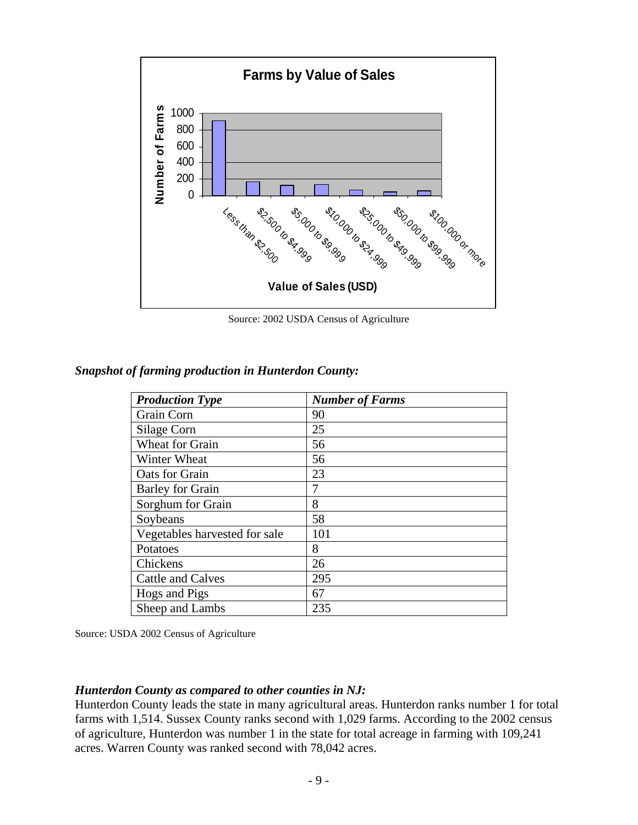

Source: 2002 USDA Census of Agriculture

| <b>Production Type</b>        | <b>Number of Farms</b> |
|-------------------------------|------------------------|
| Grain Corn                    | 90                     |
| Silage Corn                   | 25                     |
| <b>Wheat for Grain</b>        | 56                     |
| Winter Wheat                  | 56                     |
| Oats for Grain                | 23                     |
| <b>Barley for Grain</b>       | 7                      |
| Sorghum for Grain             | 8                      |
| Soybeans                      | 58                     |
| Vegetables harvested for sale | 101                    |
| Potatoes                      | 8                      |
| Chickens                      | 26                     |
| <b>Cattle and Calves</b>      | 295                    |
| Hogs and Pigs                 | 67                     |
| Sheep and Lambs               | 235                    |

*Snapshot of farming production in Hunterdon County:* 

Source: USDA 2002 Census of Agriculture

#### *Hunterdon County as compared to other counties in NJ:*

Hunterdon County leads the state in many agricultural areas. Hunterdon ranks number 1 for total farms with 1,514. Sussex County ranks second with 1,029 farms. According to the 2002 census of agriculture, Hunterdon was number 1 in the state for total acreage in farming with 109,241 acres. Warren County was ranked second with 78,042 acres.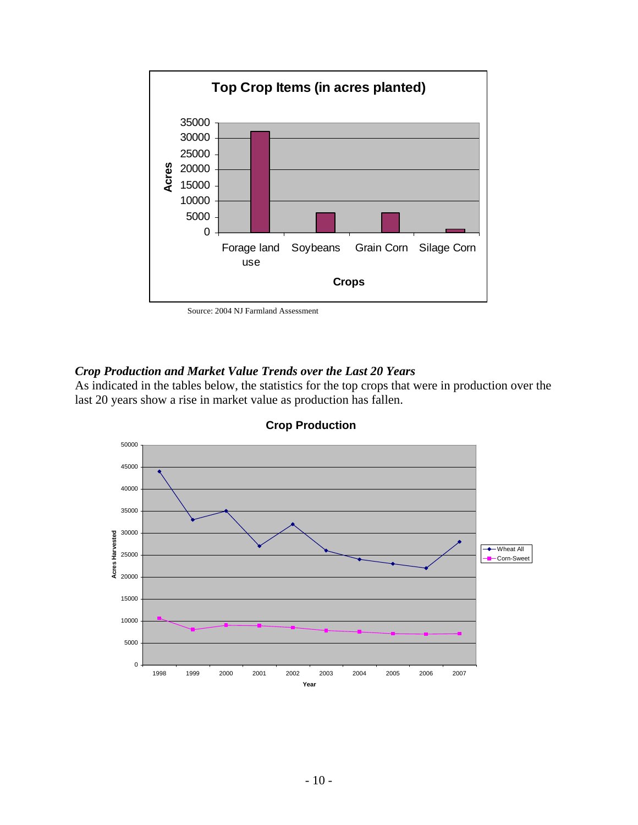

Source: 2004 NJ Farmland Assessment

#### *Crop Production and Market Value Trends over the Last 20 Years*

As indicated in the tables below, the statistics for the top crops that were in production over the last 20 years show a rise in market value as production has fallen.



**Crop Production**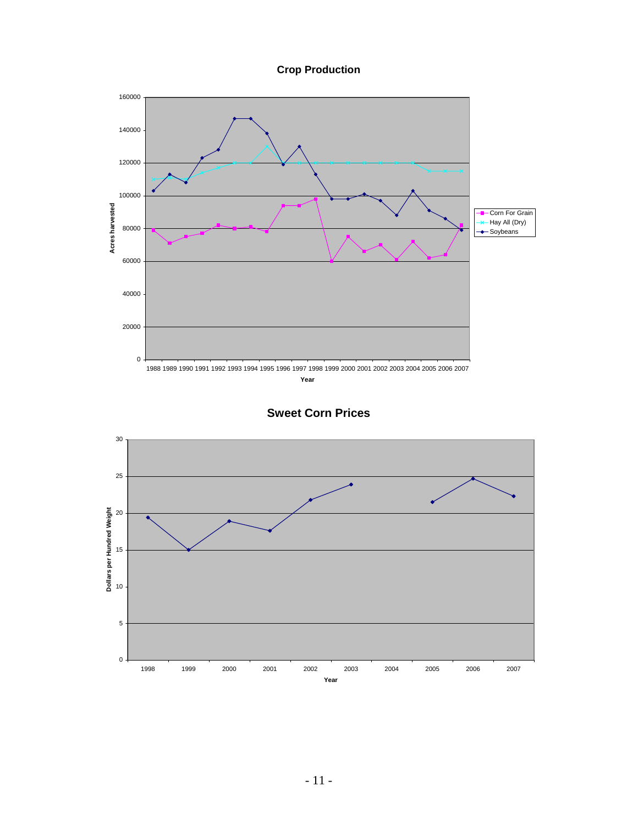**Crop Production**



**Sweet Corn Prices**

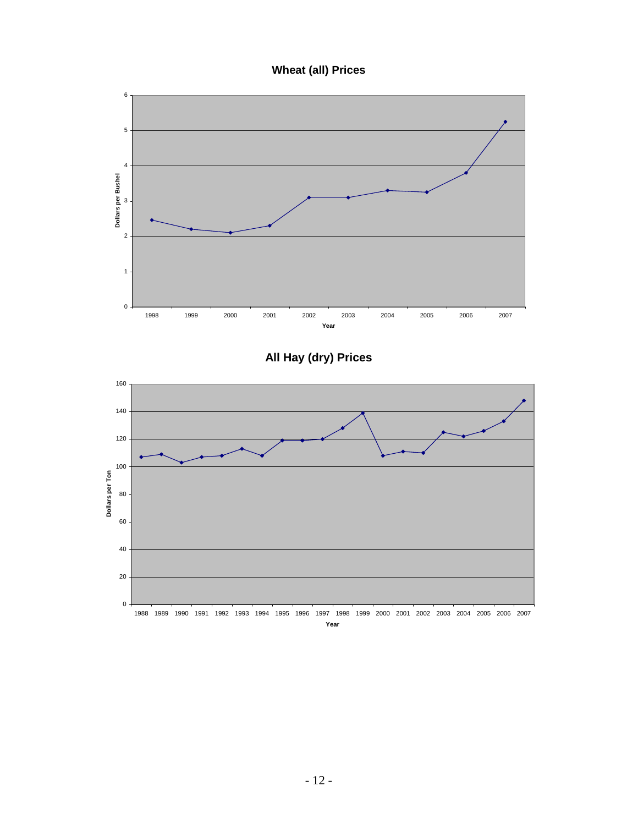## **Wheat (all) Prices**



**All Hay (dry) Prices**

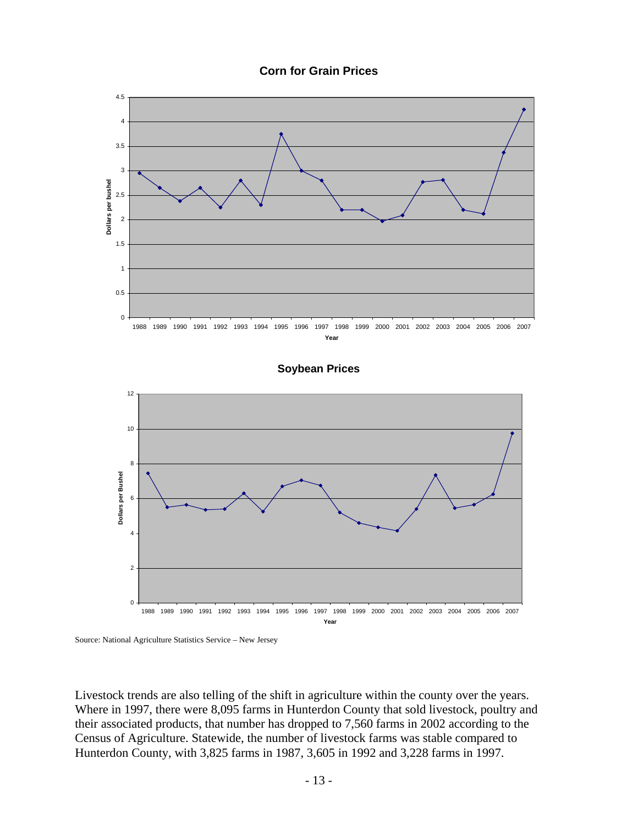



#### **Soybean Prices**



Source: National Agriculture Statistics Service – New Jersey

Livestock trends are also telling of the shift in agriculture within the county over the years. Where in 1997, there were 8,095 farms in Hunterdon County that sold livestock, poultry and their associated products, that number has dropped to 7,560 farms in 2002 according to the Census of Agriculture. Statewide, the number of livestock farms was stable compared to Hunterdon County, with 3,825 farms in 1987, 3,605 in 1992 and 3,228 farms in 1997.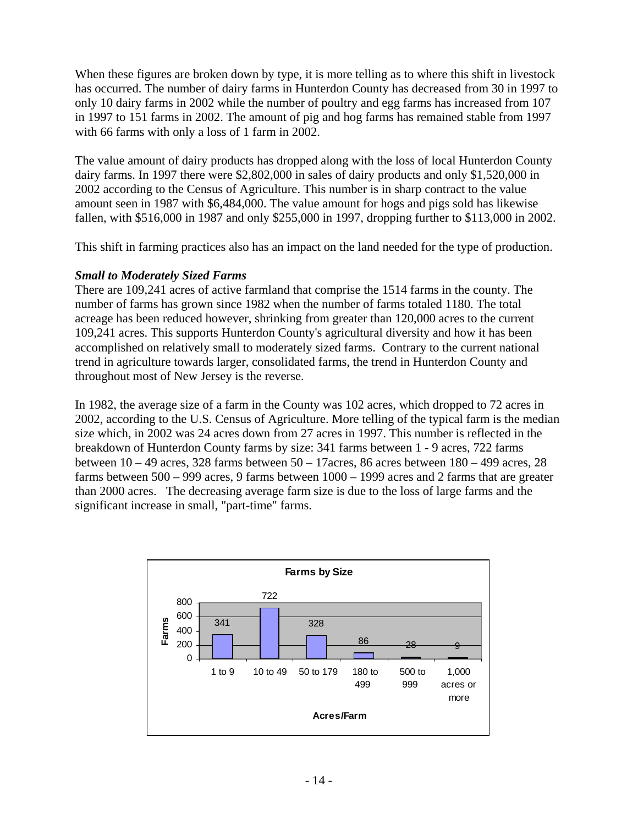When these figures are broken down by type, it is more telling as to where this shift in livestock has occurred. The number of dairy farms in Hunterdon County has decreased from 30 in 1997 to only 10 dairy farms in 2002 while the number of poultry and egg farms has increased from 107 in 1997 to 151 farms in 2002. The amount of pig and hog farms has remained stable from 1997 with 66 farms with only a loss of 1 farm in 2002.

The value amount of dairy products has dropped along with the loss of local Hunterdon County dairy farms. In 1997 there were \$2,802,000 in sales of dairy products and only \$1,520,000 in 2002 according to the Census of Agriculture. This number is in sharp contract to the value amount seen in 1987 with \$6,484,000. The value amount for hogs and pigs sold has likewise fallen, with \$516,000 in 1987 and only \$255,000 in 1997, dropping further to \$113,000 in 2002.

This shift in farming practices also has an impact on the land needed for the type of production.

#### *Small to Moderately Sized Farms*

There are 109,241 acres of active farmland that comprise the 1514 farms in the county. The number of farms has grown since 1982 when the number of farms totaled 1180. The total acreage has been reduced however, shrinking from greater than 120,000 acres to the current 109,241 acres. This supports Hunterdon County's agricultural diversity and how it has been accomplished on relatively small to moderately sized farms. Contrary to the current national trend in agriculture towards larger, consolidated farms, the trend in Hunterdon County and throughout most of New Jersey is the reverse.

In 1982, the average size of a farm in the County was 102 acres, which dropped to 72 acres in 2002, according to the U.S. Census of Agriculture. More telling of the typical farm is the median size which, in 2002 was 24 acres down from 27 acres in 1997. This number is reflected in the breakdown of Hunterdon County farms by size: 341 farms between 1 - 9 acres, 722 farms between 10 – 49 acres, 328 farms between 50 – 17acres, 86 acres between 180 – 499 acres, 28 farms between 500 – 999 acres, 9 farms between 1000 – 1999 acres and 2 farms that are greater than 2000 acres. The decreasing average farm size is due to the loss of large farms and the significant increase in small, "part-time" farms.

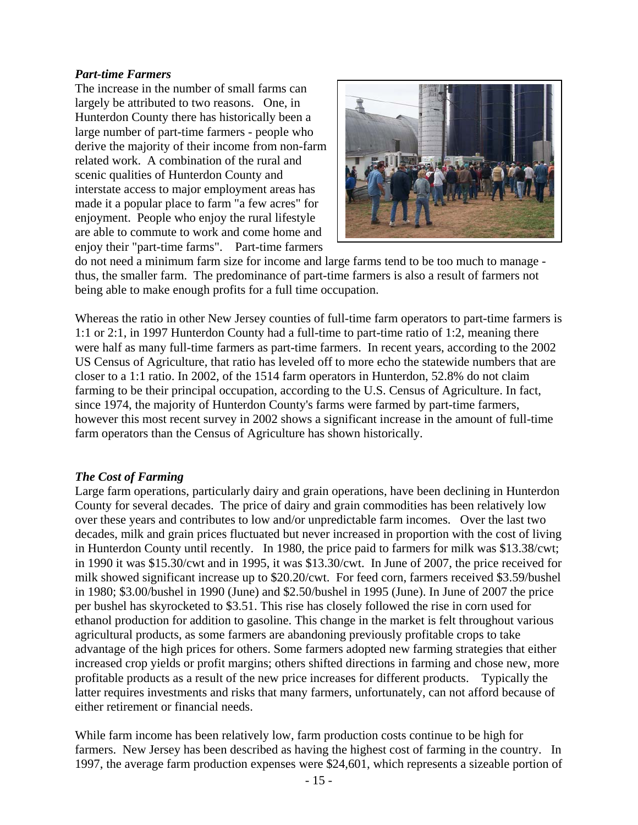#### *Part-time Farmers*

The increase in the number of small farms can largely be attributed to two reasons. One, in Hunterdon County there has historically been a large number of part-time farmers - people who derive the majority of their income from non-farm related work. A combination of the rural and scenic qualities of Hunterdon County and interstate access to major employment areas has made it a popular place to farm "a few acres" for enjoyment. People who enjoy the rural lifestyle are able to commute to work and come home and enjoy their "part-time farms". Part-time farmers



do not need a minimum farm size for income and large farms tend to be too much to manage thus, the smaller farm. The predominance of part-time farmers is also a result of farmers not being able to make enough profits for a full time occupation.

Whereas the ratio in other New Jersey counties of full-time farm operators to part-time farmers is 1:1 or 2:1, in 1997 Hunterdon County had a full-time to part-time ratio of 1:2, meaning there were half as many full-time farmers as part-time farmers. In recent years, according to the 2002 US Census of Agriculture, that ratio has leveled off to more echo the statewide numbers that are closer to a 1:1 ratio. In 2002, of the 1514 farm operators in Hunterdon, 52.8% do not claim farming to be their principal occupation, according to the U.S. Census of Agriculture. In fact, since 1974, the majority of Hunterdon County's farms were farmed by part-time farmers, however this most recent survey in 2002 shows a significant increase in the amount of full-time farm operators than the Census of Agriculture has shown historically.

#### *The Cost of Farming*

Large farm operations, particularly dairy and grain operations, have been declining in Hunterdon County for several decades. The price of dairy and grain commodities has been relatively low over these years and contributes to low and/or unpredictable farm incomes. Over the last two decades, milk and grain prices fluctuated but never increased in proportion with the cost of living in Hunterdon County until recently. In 1980, the price paid to farmers for milk was \$13.38/cwt; in 1990 it was \$15.30/cwt and in 1995, it was \$13.30/cwt. In June of 2007, the price received for milk showed significant increase up to \$20.20/cwt. For feed corn, farmers received \$3.59/bushel in 1980; \$3.00/bushel in 1990 (June) and \$2.50/bushel in 1995 (June). In June of 2007 the price per bushel has skyrocketed to \$3.51. This rise has closely followed the rise in corn used for ethanol production for addition to gasoline. This change in the market is felt throughout various agricultural products, as some farmers are abandoning previously profitable crops to take advantage of the high prices for others. Some farmers adopted new farming strategies that either increased crop yields or profit margins; others shifted directions in farming and chose new, more profitable products as a result of the new price increases for different products. Typically the latter requires investments and risks that many farmers, unfortunately, can not afford because of either retirement or financial needs.

While farm income has been relatively low, farm production costs continue to be high for farmers. New Jersey has been described as having the highest cost of farming in the country. In 1997, the average farm production expenses were \$24,601, which represents a sizeable portion of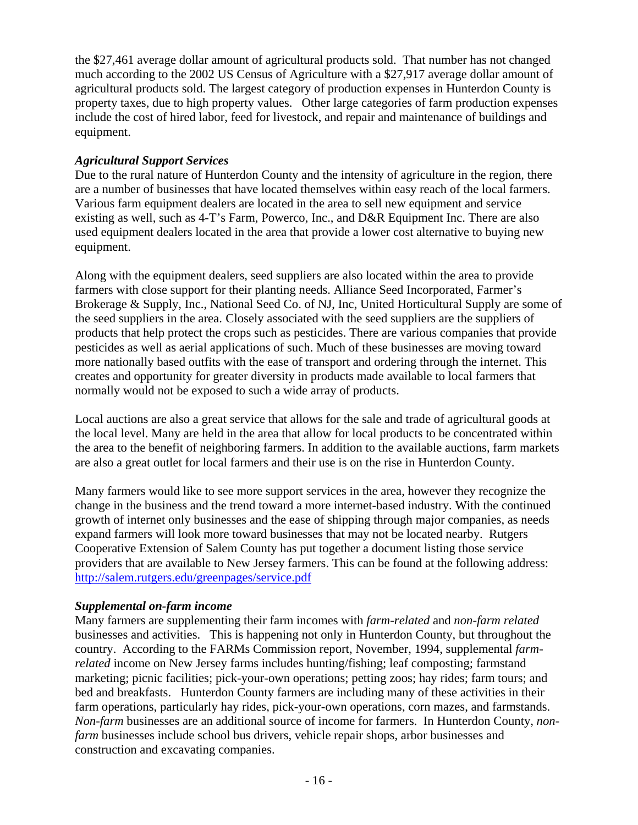the \$27,461 average dollar amount of agricultural products sold. That number has not changed much according to the 2002 US Census of Agriculture with a \$27,917 average dollar amount of agricultural products sold. The largest category of production expenses in Hunterdon County is property taxes, due to high property values. Other large categories of farm production expenses include the cost of hired labor, feed for livestock, and repair and maintenance of buildings and equipment.

### *Agricultural Support Services*

Due to the rural nature of Hunterdon County and the intensity of agriculture in the region, there are a number of businesses that have located themselves within easy reach of the local farmers. Various farm equipment dealers are located in the area to sell new equipment and service existing as well, such as 4-T's Farm, Powerco, Inc., and D&R Equipment Inc. There are also used equipment dealers located in the area that provide a lower cost alternative to buying new equipment.

Along with the equipment dealers, seed suppliers are also located within the area to provide farmers with close support for their planting needs. Alliance Seed Incorporated, Farmer's Brokerage & Supply, Inc., National Seed Co. of NJ, Inc, United Horticultural Supply are some of the seed suppliers in the area. Closely associated with the seed suppliers are the suppliers of products that help protect the crops such as pesticides. There are various companies that provide pesticides as well as aerial applications of such. Much of these businesses are moving toward more nationally based outfits with the ease of transport and ordering through the internet. This creates and opportunity for greater diversity in products made available to local farmers that normally would not be exposed to such a wide array of products.

Local auctions are also a great service that allows for the sale and trade of agricultural goods at the local level. Many are held in the area that allow for local products to be concentrated within the area to the benefit of neighboring farmers. In addition to the available auctions, farm markets are also a great outlet for local farmers and their use is on the rise in Hunterdon County.

Many farmers would like to see more support services in the area, however they recognize the change in the business and the trend toward a more internet-based industry. With the continued growth of internet only businesses and the ease of shipping through major companies, as needs expand farmers will look more toward businesses that may not be located nearby. Rutgers Cooperative Extension of Salem County has put together a document listing those service providers that are available to New Jersey farmers. This can be found at the following address: http://salem.rutgers.edu/greenpages/service.pdf

#### *Supplemental on-farm income*

Many farmers are supplementing their farm incomes with *farm-related* and *non-farm related* businesses and activities. This is happening not only in Hunterdon County, but throughout the country. According to the FARMs Commission report, November, 1994, supplemental *farmrelated* income on New Jersey farms includes hunting/fishing; leaf composting; farmstand marketing; picnic facilities; pick-your-own operations; petting zoos; hay rides; farm tours; and bed and breakfasts. Hunterdon County farmers are including many of these activities in their farm operations, particularly hay rides, pick-your-own operations, corn mazes, and farmstands. *Non-farm* businesses are an additional source of income for farmers. In Hunterdon County, *nonfarm* businesses include school bus drivers, vehicle repair shops, arbor businesses and construction and excavating companies.